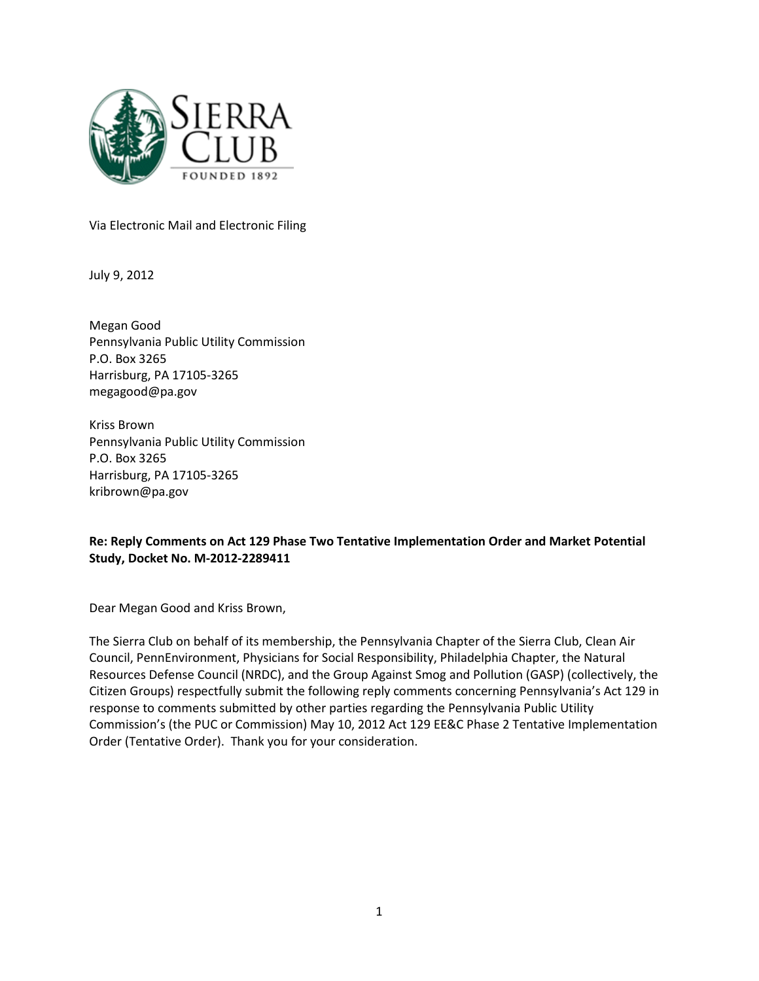

Via Electronic Mail and Electronic Filing

July 9, 2012

Megan Good Pennsylvania Public Utility Commission P.O. Box 3265 Harrisburg, PA 17105-3265 megagood@pa.gov

Kriss Brown Pennsylvania Public Utility Commission P.O. Box 3265 Harrisburg, PA 17105-3265 kribrown@pa.gov

### Re: Reply Comments on Act 129 Phase Two Tentative Implementation Order and Market Potential Study, Docket No. M-2012-2289411

Dear Megan Good and Kriss Brown,

The Sierra Club on behalf of its membership, the Pennsylvania Chapter of the Sierra Club, Clean Air Council, PennEnvironment, Physicians for Social Responsibility, Philadelphia Chapter, the Natural Resources Defense Council (NRDC), and the Group Against Smog and Pollution (GASP) (collectively, the Citizen Groups) respectfully submit the following reply comments concerning Pennsylvania's Act 129 in response to comments submitted by other parties regarding the Pennsylvania Public Utility Commission's (the PUC or Commission) May 10, 2012 Act 129 EE&C Phase 2 Tentative Implementation Order (Tentative Order). Thank you for your consideration.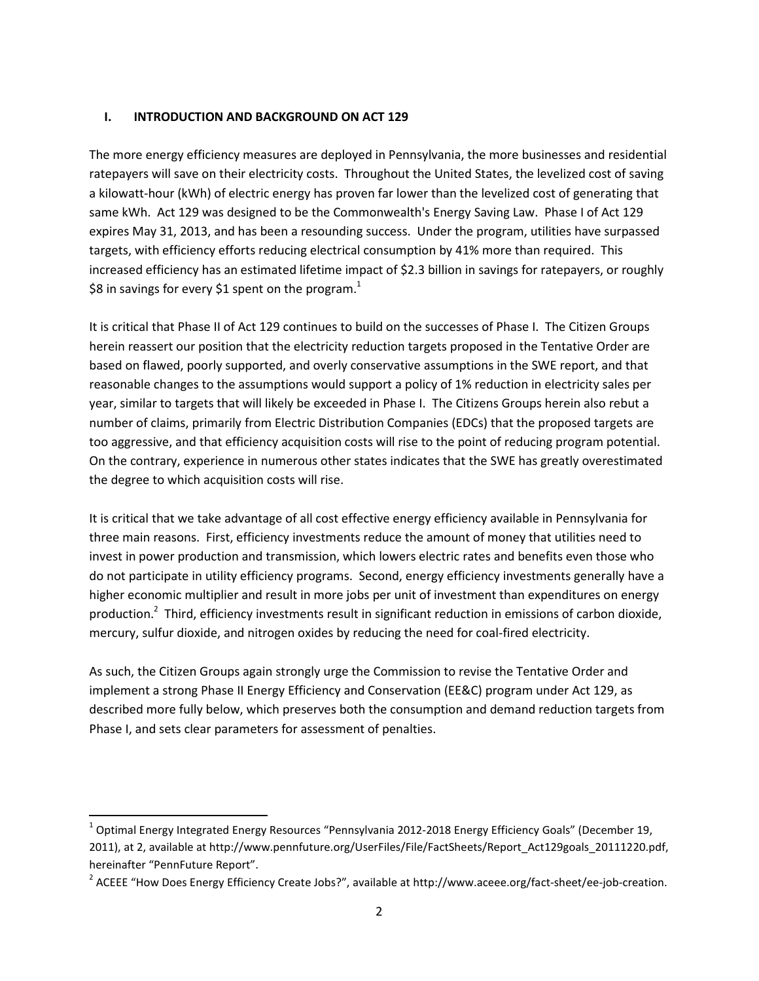#### I. INTRODUCTION AND BACKGROUND ON ACT 129

The more energy efficiency measures are deployed in Pennsylvania, the more businesses and residential ratepayers will save on their electricity costs. Throughout the United States, the levelized cost of saving a kilowatt-hour (kWh) of electric energy has proven far lower than the levelized cost of generating that same kWh. Act 129 was designed to be the Commonwealth's Energy Saving Law. Phase I of Act 129 expires May 31, 2013, and has been a resounding success. Under the program, utilities have surpassed targets, with efficiency efforts reducing electrical consumption by 41% more than required. This increased efficiency has an estimated lifetime impact of \$2.3 billion in savings for ratepayers, or roughly \$8 in savings for every \$1 spent on the program.<sup>1</sup>

It is critical that Phase II of Act 129 continues to build on the successes of Phase I. The Citizen Groups herein reassert our position that the electricity reduction targets proposed in the Tentative Order are based on flawed, poorly supported, and overly conservative assumptions in the SWE report, and that reasonable changes to the assumptions would support a policy of 1% reduction in electricity sales per year, similar to targets that will likely be exceeded in Phase I. The Citizens Groups herein also rebut a number of claims, primarily from Electric Distribution Companies (EDCs) that the proposed targets are too aggressive, and that efficiency acquisition costs will rise to the point of reducing program potential. On the contrary, experience in numerous other states indicates that the SWE has greatly overestimated the degree to which acquisition costs will rise.

It is critical that we take advantage of all cost effective energy efficiency available in Pennsylvania for three main reasons. First, efficiency investments reduce the amount of money that utilities need to invest in power production and transmission, which lowers electric rates and benefits even those who do not participate in utility efficiency programs. Second, energy efficiency investments generally have a higher economic multiplier and result in more jobs per unit of investment than expenditures on energy production.<sup>2</sup> Third, efficiency investments result in significant reduction in emissions of carbon dioxide, mercury, sulfur dioxide, and nitrogen oxides by reducing the need for coal-fired electricity.

As such, the Citizen Groups again strongly urge the Commission to revise the Tentative Order and implement a strong Phase II Energy Efficiency and Conservation (EE&C) program under Act 129, as described more fully below, which preserves both the consumption and demand reduction targets from Phase I, and sets clear parameters for assessment of penalties.

 $^1$  Optimal Energy Integrated Energy Resources "Pennsylvania 2012-2018 Energy Efficiency Goals" (December 19, 2011), at 2, available at http://www.pennfuture.org/UserFiles/File/FactSheets/Report\_Act129goals\_20111220.pdf, hereinafter "PennFuture Report".

<sup>&</sup>lt;sup>2</sup> ACEEE "How Does Energy Efficiency Create Jobs?", available at http://www.aceee.org/fact-sheet/ee-job-creation.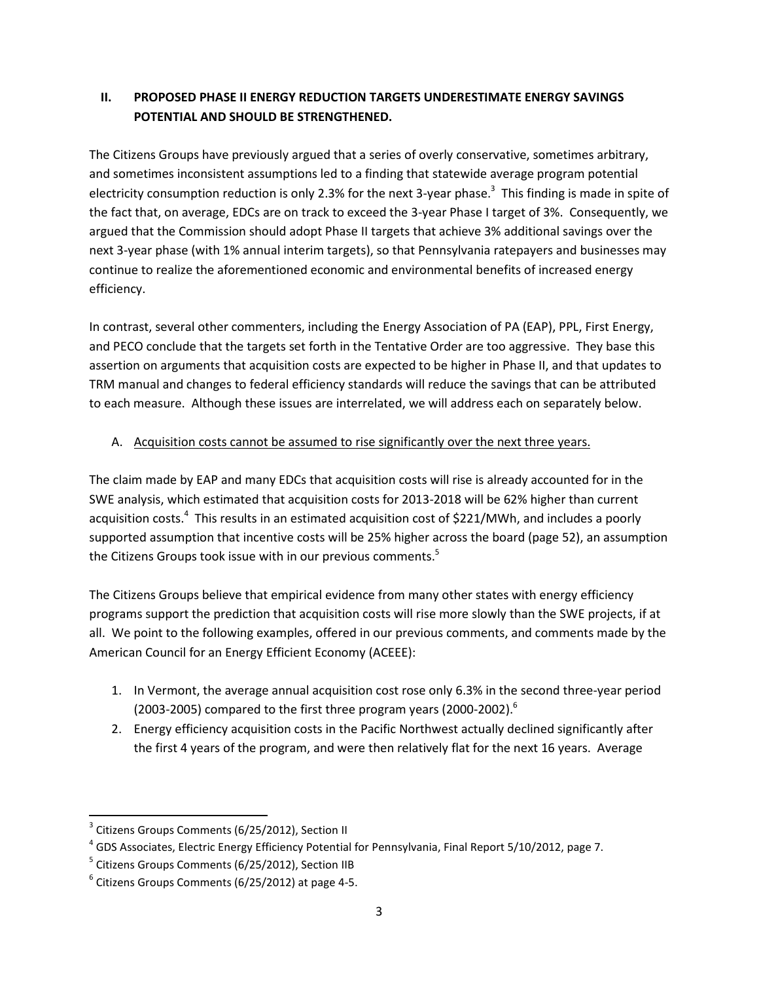## II. PROPOSED PHASE II ENERGY REDUCTION TARGETS UNDERESTIMATE ENERGY SAVINGS POTENTIAL AND SHOULD BE STRENGTHENED.

The Citizens Groups have previously argued that a series of overly conservative, sometimes arbitrary, and sometimes inconsistent assumptions led to a finding that statewide average program potential electricity consumption reduction is only 2.3% for the next 3-year phase.<sup>3</sup> This finding is made in spite of the fact that, on average, EDCs are on track to exceed the 3-year Phase I target of 3%. Consequently, we argued that the Commission should adopt Phase II targets that achieve 3% additional savings over the next 3-year phase (with 1% annual interim targets), so that Pennsylvania ratepayers and businesses may continue to realize the aforementioned economic and environmental benefits of increased energy efficiency.

In contrast, several other commenters, including the Energy Association of PA (EAP), PPL, First Energy, and PECO conclude that the targets set forth in the Tentative Order are too aggressive. They base this assertion on arguments that acquisition costs are expected to be higher in Phase II, and that updates to TRM manual and changes to federal efficiency standards will reduce the savings that can be attributed to each measure. Although these issues are interrelated, we will address each on separately below.

### A. Acquisition costs cannot be assumed to rise significantly over the next three years.

The claim made by EAP and many EDCs that acquisition costs will rise is already accounted for in the SWE analysis, which estimated that acquisition costs for 2013-2018 will be 62% higher than current acquisition costs.<sup>4</sup> This results in an estimated acquisition cost of \$221/MWh, and includes a poorly supported assumption that incentive costs will be 25% higher across the board (page 52), an assumption the Citizens Groups took issue with in our previous comments.<sup>5</sup>

The Citizens Groups believe that empirical evidence from many other states with energy efficiency programs support the prediction that acquisition costs will rise more slowly than the SWE projects, if at all. We point to the following examples, offered in our previous comments, and comments made by the American Council for an Energy Efficient Economy (ACEEE):

- 1. In Vermont, the average annual acquisition cost rose only 6.3% in the second three-year period (2003-2005) compared to the first three program years (2000-2002). $^6$
- 2. Energy efficiency acquisition costs in the Pacific Northwest actually declined significantly after the first 4 years of the program, and were then relatively flat for the next 16 years. Average

 $\overline{\phantom{0}}$ 

<sup>&</sup>lt;sup>3</sup> Citizens Groups Comments (6/25/2012), Section II

<sup>&</sup>lt;sup>4</sup> GDS Associates, Electric Energy Efficiency Potential for Pennsylvania, Final Report 5/10/2012, page 7.

<sup>&</sup>lt;sup>5</sup> Citizens Groups Comments (6/25/2012), Section IIB

 $<sup>6</sup>$  Citizens Groups Comments (6/25/2012) at page 4-5.</sup>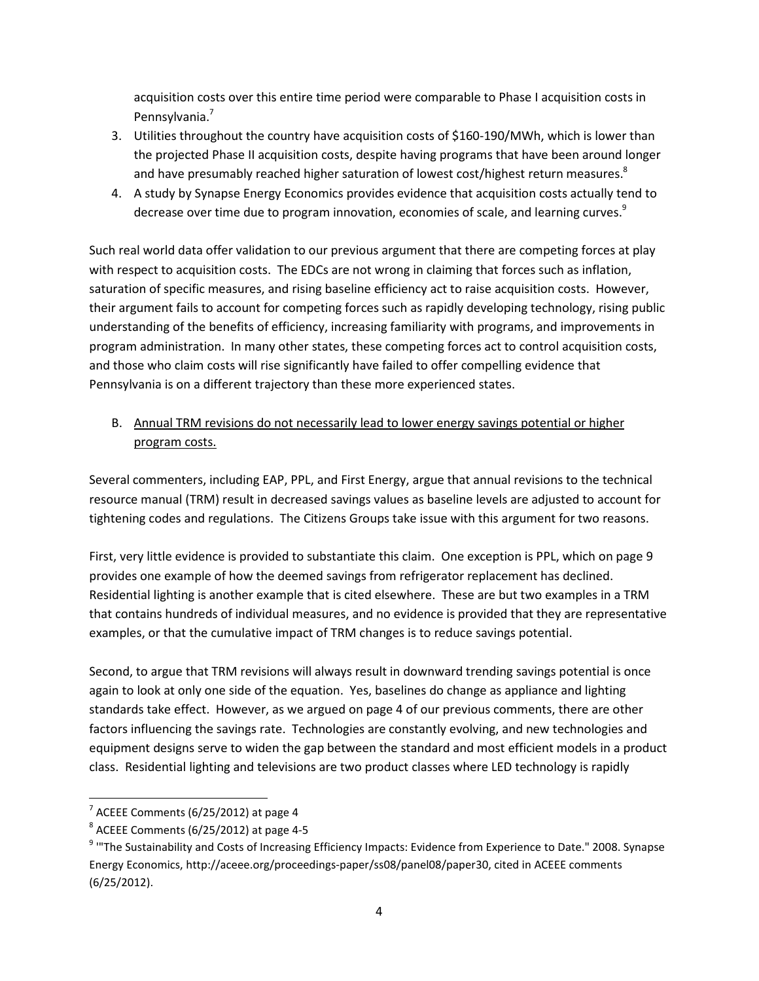acquisition costs over this entire time period were comparable to Phase I acquisition costs in Pennsylvania.<sup>7</sup>

- 3. Utilities throughout the country have acquisition costs of \$160-190/MWh, which is lower than the projected Phase II acquisition costs, despite having programs that have been around longer and have presumably reached higher saturation of lowest cost/highest return measures.<sup>8</sup>
- 4. A study by Synapse Energy Economics provides evidence that acquisition costs actually tend to decrease over time due to program innovation, economies of scale, and learning curves.<sup>9</sup>

Such real world data offer validation to our previous argument that there are competing forces at play with respect to acquisition costs. The EDCs are not wrong in claiming that forces such as inflation, saturation of specific measures, and rising baseline efficiency act to raise acquisition costs. However, their argument fails to account for competing forces such as rapidly developing technology, rising public understanding of the benefits of efficiency, increasing familiarity with programs, and improvements in program administration. In many other states, these competing forces act to control acquisition costs, and those who claim costs will rise significantly have failed to offer compelling evidence that Pennsylvania is on a different trajectory than these more experienced states.

B. Annual TRM revisions do not necessarily lead to lower energy savings potential or higher program costs.

Several commenters, including EAP, PPL, and First Energy, argue that annual revisions to the technical resource manual (TRM) result in decreased savings values as baseline levels are adjusted to account for tightening codes and regulations. The Citizens Groups take issue with this argument for two reasons.

First, very little evidence is provided to substantiate this claim. One exception is PPL, which on page 9 provides one example of how the deemed savings from refrigerator replacement has declined. Residential lighting is another example that is cited elsewhere. These are but two examples in a TRM that contains hundreds of individual measures, and no evidence is provided that they are representative examples, or that the cumulative impact of TRM changes is to reduce savings potential.

Second, to argue that TRM revisions will always result in downward trending savings potential is once again to look at only one side of the equation. Yes, baselines do change as appliance and lighting standards take effect. However, as we argued on page 4 of our previous comments, there are other factors influencing the savings rate. Technologies are constantly evolving, and new technologies and equipment designs serve to widen the gap between the standard and most efficient models in a product class. Residential lighting and televisions are two product classes where LED technology is rapidly

l

 $7$  ACEEE Comments (6/25/2012) at page 4

 $8$  ACEEE Comments (6/25/2012) at page 4-5

<sup>&</sup>lt;sup>9</sup> "The Sustainability and Costs of Increasing Efficiency Impacts: Evidence from Experience to Date." 2008. Synapse Energy Economics, http://aceee.org/proceedings-paper/ss08/panel08/paper30, cited in ACEEE comments (6/25/2012).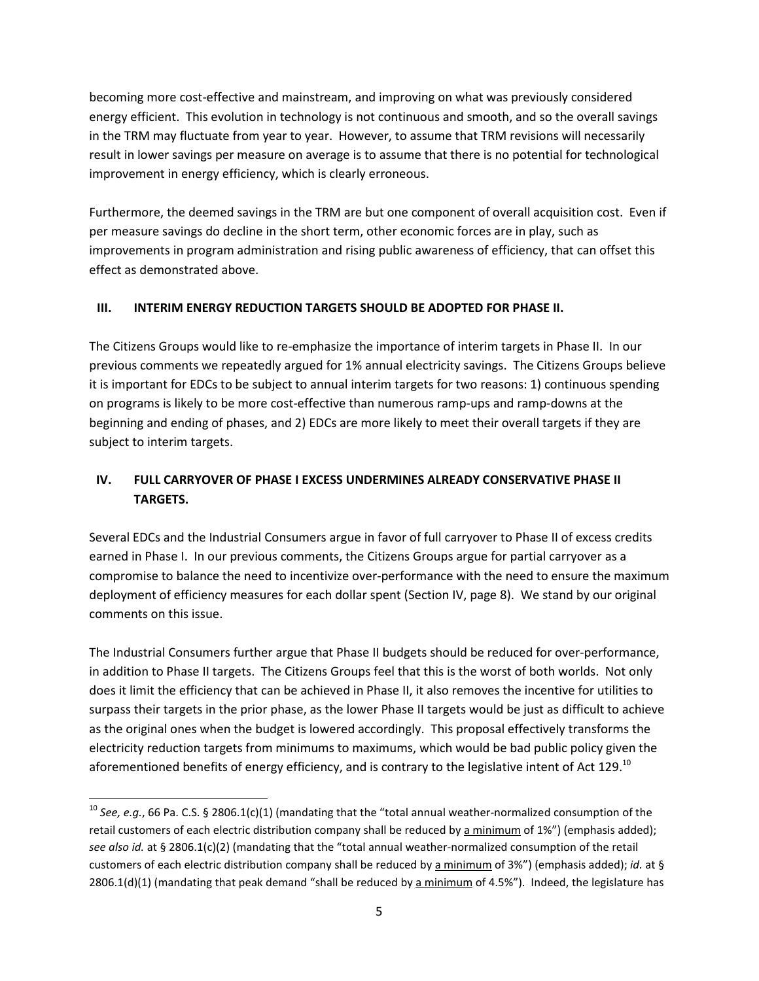becoming more cost-effective and mainstream, and improving on what was previously considered energy efficient. This evolution in technology is not continuous and smooth, and so the overall savings in the TRM may fluctuate from year to year. However, to assume that TRM revisions will necessarily result in lower savings per measure on average is to assume that there is no potential for technological improvement in energy efficiency, which is clearly erroneous.

Furthermore, the deemed savings in the TRM are but one component of overall acquisition cost. Even if per measure savings do decline in the short term, other economic forces are in play, such as improvements in program administration and rising public awareness of efficiency, that can offset this effect as demonstrated above.

### III. INTERIM ENERGY REDUCTION TARGETS SHOULD BE ADOPTED FOR PHASE II.

The Citizens Groups would like to re-emphasize the importance of interim targets in Phase II. In our previous comments we repeatedly argued for 1% annual electricity savings. The Citizens Groups believe it is important for EDCs to be subject to annual interim targets for two reasons: 1) continuous spending on programs is likely to be more cost-effective than numerous ramp-ups and ramp-downs at the beginning and ending of phases, and 2) EDCs are more likely to meet their overall targets if they are subject to interim targets.

# IV. FULL CARRYOVER OF PHASE I EXCESS UNDERMINES ALREADY CONSERVATIVE PHASE II TARGETS.

Several EDCs and the Industrial Consumers argue in favor of full carryover to Phase II of excess credits earned in Phase I. In our previous comments, the Citizens Groups argue for partial carryover as a compromise to balance the need to incentivize over-performance with the need to ensure the maximum deployment of efficiency measures for each dollar spent (Section IV, page 8). We stand by our original comments on this issue.

The Industrial Consumers further argue that Phase II budgets should be reduced for over-performance, in addition to Phase II targets. The Citizens Groups feel that this is the worst of both worlds. Not only does it limit the efficiency that can be achieved in Phase II, it also removes the incentive for utilities to surpass their targets in the prior phase, as the lower Phase II targets would be just as difficult to achieve as the original ones when the budget is lowered accordingly. This proposal effectively transforms the electricity reduction targets from minimums to maximums, which would be bad public policy given the aforementioned benefits of energy efficiency, and is contrary to the legislative intent of Act 129.<sup>10</sup>

l

<sup>&</sup>lt;sup>10</sup> See, e.g., 66 Pa. C.S. § 2806.1(c)(1) (mandating that the "total annual weather-normalized consumption of the retail customers of each electric distribution company shall be reduced by a minimum of 1%") (emphasis added); see also id. at § 2806.1(c)(2) (mandating that the "total annual weather-normalized consumption of the retail customers of each electric distribution company shall be reduced by a minimum of 3%") (emphasis added); id. at § 2806.1(d)(1) (mandating that peak demand "shall be reduced by a minimum of 4.5%"). Indeed, the legislature has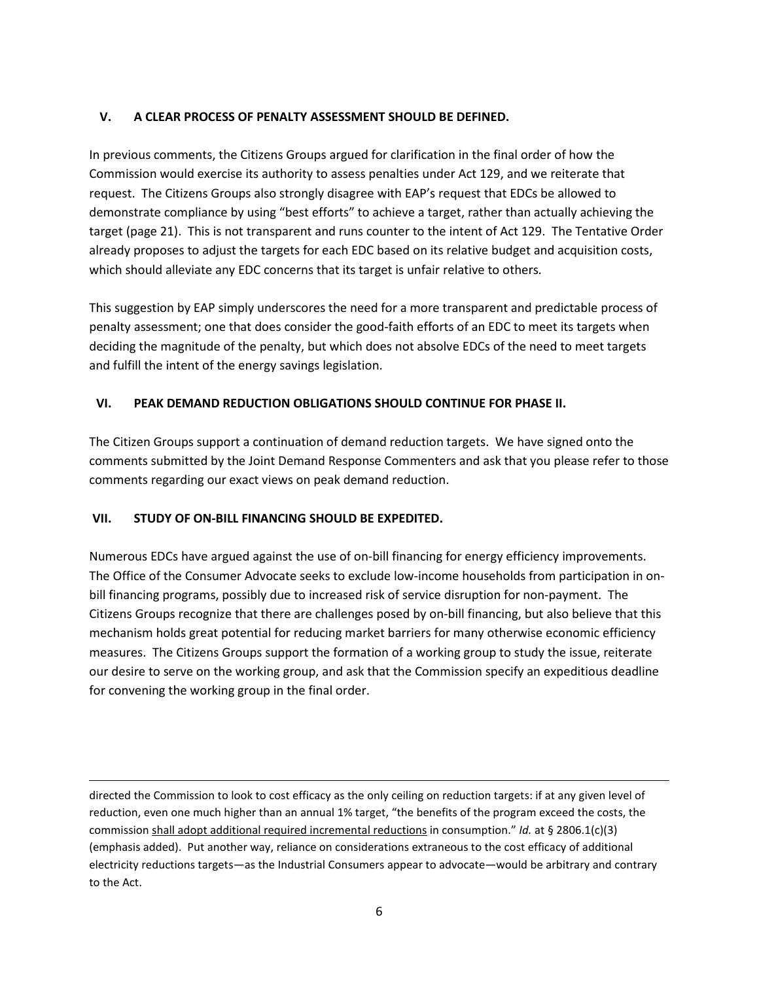### V. A CLEAR PROCESS OF PENALTY ASSESSMENT SHOULD BE DEFINED.

In previous comments, the Citizens Groups argued for clarification in the final order of how the Commission would exercise its authority to assess penalties under Act 129, and we reiterate that request. The Citizens Groups also strongly disagree with EAP's request that EDCs be allowed to demonstrate compliance by using "best efforts" to achieve a target, rather than actually achieving the target (page 21). This is not transparent and runs counter to the intent of Act 129. The Tentative Order already proposes to adjust the targets for each EDC based on its relative budget and acquisition costs, which should alleviate any EDC concerns that its target is unfair relative to others.

This suggestion by EAP simply underscores the need for a more transparent and predictable process of penalty assessment; one that does consider the good-faith efforts of an EDC to meet its targets when deciding the magnitude of the penalty, but which does not absolve EDCs of the need to meet targets and fulfill the intent of the energy savings legislation.

### VI. PEAK DEMAND REDUCTION OBLIGATIONS SHOULD CONTINUE FOR PHASE II.

The Citizen Groups support a continuation of demand reduction targets. We have signed onto the comments submitted by the Joint Demand Response Commenters and ask that you please refer to those comments regarding our exact views on peak demand reduction.

### VII. STUDY OF ON-BILL FINANCING SHOULD BE EXPEDITED.

Numerous EDCs have argued against the use of on-bill financing for energy efficiency improvements. The Office of the Consumer Advocate seeks to exclude low-income households from participation in onbill financing programs, possibly due to increased risk of service disruption for non-payment. The Citizens Groups recognize that there are challenges posed by on-bill financing, but also believe that this mechanism holds great potential for reducing market barriers for many otherwise economic efficiency measures. The Citizens Groups support the formation of a working group to study the issue, reiterate our desire to serve on the working group, and ask that the Commission specify an expeditious deadline for convening the working group in the final order.

directed the Commission to look to cost efficacy as the only ceiling on reduction targets: if at any given level of reduction, even one much higher than an annual 1% target, "the benefits of the program exceed the costs, the commission shall adopt additional required incremental reductions in consumption." Id. at § 2806.1(c)(3) (emphasis added). Put another way, reliance on considerations extraneous to the cost efficacy of additional electricity reductions targets—as the Industrial Consumers appear to advocate—would be arbitrary and contrary to the Act.